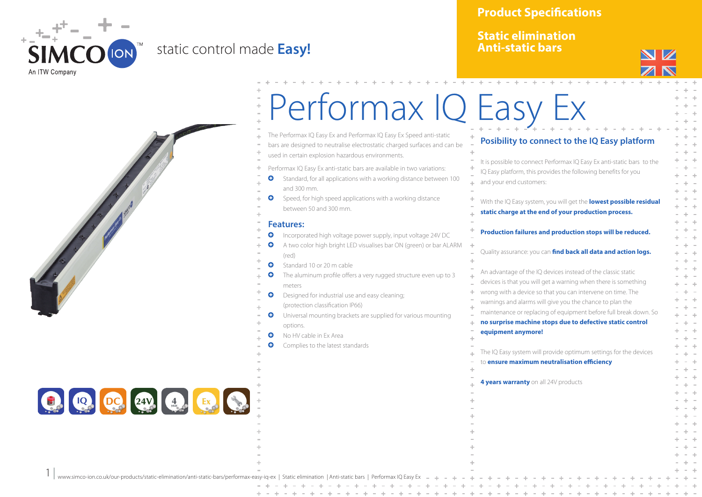

## static control made **Easy!**

### **Product Specifications**

**Static elimination Anti-static bars**



# Performax IQ Easy Ex  $\frac{1}{\pi}$

| The Performax IQ Easy Ex and Performax IQ Easy Ex Speed anti-static<br>bars are designed to neutralise electrostatic charged surfaces and can be<br>used in certain explosion hazardous environments.<br>Performax IQ Easy Ex anti-static bars are available in two variations:<br>Standard, for all applications with a working distance between 100<br>o<br>and 300 mm.                                                                                                                                                                                   | Posibility to connect to the IQ Easy platform<br>÷<br>It is possible to connect Performax IQ Easy Ex anti-static bars to the<br>÷<br>IQ Easy platform, this provides the following benefits for you<br>and your end customers:<br>÷                                                                                                                                                                                                                                                                                                                                                                                                                                                             |
|-------------------------------------------------------------------------------------------------------------------------------------------------------------------------------------------------------------------------------------------------------------------------------------------------------------------------------------------------------------------------------------------------------------------------------------------------------------------------------------------------------------------------------------------------------------|-------------------------------------------------------------------------------------------------------------------------------------------------------------------------------------------------------------------------------------------------------------------------------------------------------------------------------------------------------------------------------------------------------------------------------------------------------------------------------------------------------------------------------------------------------------------------------------------------------------------------------------------------------------------------------------------------|
| Speed, for high speed applications with a working distance<br>۰<br>between 50 and 300 mm.                                                                                                                                                                                                                                                                                                                                                                                                                                                                   | ÷<br>With the IQ Easy system, you will get the lowest possible residual<br>static charge at the end of your production process.<br>ă.                                                                                                                                                                                                                                                                                                                                                                                                                                                                                                                                                           |
| <b>Features:</b><br>Incorporated high voltage power supply, input voltage 24V DC<br>۰<br>A two color high bright LED visualises bar ON (green) or bar ALARM<br>O<br>(red)<br>Standard 10 or 20 m cable<br>O<br>$\bullet$<br>The aluminum profile offers a very rugged structure even up to 3<br>meters<br>۰<br>Designed for industrial use and easy cleaning;<br>(protection classification IP66)<br>O<br>Universal mounting brackets are supplied for various mounting<br>options.<br>No HV cable in Ex Area<br>O<br>Complies to the latest standards<br>o | ÷<br>Production failures and production stops will be reduced.<br>÷<br>Quality assurance: you can find back all data and action logs.<br>÷<br>An advantage of the IQ devices instead of the classic static<br>devices is that you will get a warning when there is something<br>wrong with a device so that you can intervene on time. The<br>÷<br>warnings and alarms will give you the chance to plan the<br>÷<br>maintenance or replacing of equipment before full break down. So<br>no surprise machine stops due to defective static control<br>equipment anymore!<br>÷<br>The IQ Easy system will provide optimum settings for the devices<br>to ensure maximum neutralisation efficiency |
|                                                                                                                                                                                                                                                                                                                                                                                                                                                                                                                                                             | 4 years warranty on all 24V products                                                                                                                                                                                                                                                                                                                                                                                                                                                                                                                                                                                                                                                            |

- **g** Incorporated high
- **Q** A two color high
- (red)
- $\bullet$  Standard 10 or
- $\bullet$  The aluminum
- meters
- **Q** Designed for ind
- (protection clas
- $\bullet$  Universal mount options.
- No HV cable in
- Complies to the

C Q DC 24V 4 EX

1 |

www.simco-ion.co.uk/our-products/static-elimination/anti-static-bars/performax-easy-iq-ex | Static elimination | Anti-static bars | Performax IQ Easy Ex